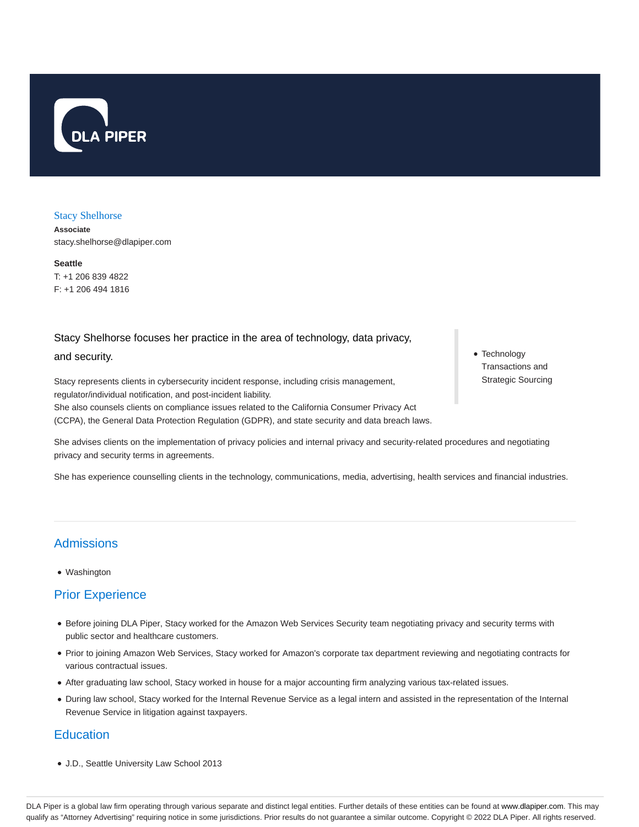

### Stacy Shelhorse

**Associate** stacy.shelhorse@dlapiper.com

**Seattle** T: +1 206 839 4822 F: +1 206 494 1816

## Stacy Shelhorse focuses her practice in the area of technology, data privacy,

### and security.

Stacy represents clients in cybersecurity incident response, including crisis management, regulator/individual notification, and post-incident liability. She also counsels clients on compliance issues related to the California Consumer Privacy Act (CCPA), the General Data Protection Regulation (GDPR), and state security and data breach laws.

She advises clients on the implementation of privacy policies and internal privacy and security-related procedures and negotiating privacy and security terms in agreements.

She has experience counselling clients in the technology, communications, media, advertising, health services and financial industries.

# Admissions

Washington

# Prior Experience

- Before joining DLA Piper, Stacy worked for the Amazon Web Services Security team negotiating privacy and security terms with public sector and healthcare customers.
- Prior to joining Amazon Web Services, Stacy worked for Amazon's corporate tax department reviewing and negotiating contracts for various contractual issues.
- After graduating law school, Stacy worked in house for a major accounting firm analyzing various tax-related issues.
- During law school, Stacy worked for the Internal Revenue Service as a legal intern and assisted in the representation of the Internal Revenue Service in litigation against taxpayers.

# **Education**

J.D., Seattle University Law School 2013

• Technology Transactions and Strategic Sourcing

DLA Piper is a global law firm operating through various separate and distinct legal entities. Further details of these entities can be found at www.dlapiper.com. This may qualify as "Attorney Advertising" requiring notice in some jurisdictions. Prior results do not guarantee a similar outcome. Copyright @ 2022 DLA Piper. All rights reserved.